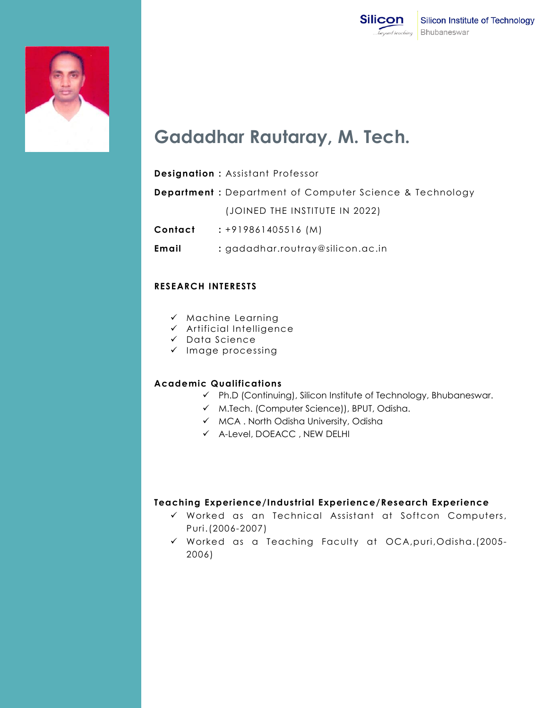



# **Gadadhar Rautaray, M. Tech.**

#### **Designation :** Assistant Professor

**Department :** Department of Computer Science & Technology (JOINED THE INSTITUTE IN 2022)

**Contact :** +919861405516 (M)

**Email :** gadadhar.routray@silicon.ac.in

#### **RESEARCH INTERESTS**

- $\checkmark$  Machine Learning
- $\checkmark$  Artificial Intelligence
- $\checkmark$  Data Science
- $\checkmark$  Image processing

## **Academic Qualifications**

- Ph.D (Continuing), Silicon Institute of Technology, Bhubaneswar.
- M.Tech. (Computer Science)), BPUT, Odisha.
- $\checkmark$  MCA. North Odisha University, Odisha
- A-Level, DOEACC , NEW DELHI

## **Teaching Experience/Industrial Experience/Research Experience**

- Worked as an Technical Assistant at Softcon Computers, Puri.(2006-2007)
- Worked as a Teaching Faculty at OCA,puri,Odisha.(2005- 2006)